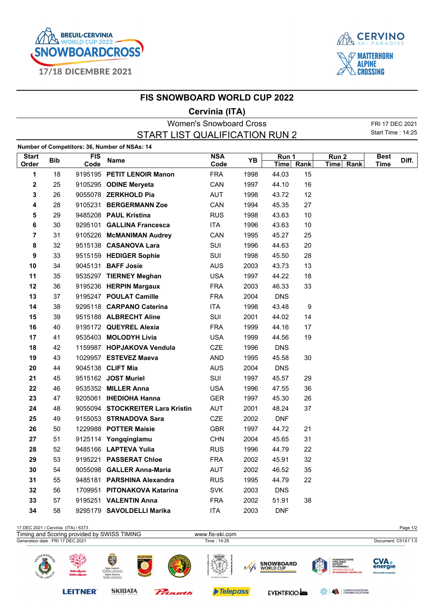



## **FIS SNOWBOARD WORLD CUP 2022**

## **Cervinia (ITA)**

| <b>Women's Snowboard Cross</b> |            |                    |                                               |                    |      |                    |      |                    |                            | FRI 17 DEC 2021 |
|--------------------------------|------------|--------------------|-----------------------------------------------|--------------------|------|--------------------|------|--------------------|----------------------------|-----------------|
|                                |            |                    | START LIST QUALIFICATION RUN 2                |                    |      |                    |      |                    | <b>Start Time: 14:25</b>   |                 |
|                                |            |                    | Number of Competitors: 36, Number of NSAs: 14 |                    |      |                    |      |                    |                            |                 |
| <b>Start</b><br>Order          | <b>Bib</b> | <b>FIS</b><br>Code | <b>Name</b>                                   | <b>NSA</b><br>Code | YB   | Run 1<br>Time Rank |      | Run 2<br>Time Rank | <b>Best</b><br><b>Time</b> | Diff.           |
| 1                              | 18         |                    | 9195195 PETIT LENOIR Manon                    | <b>FRA</b>         | 1998 | 44.03              | 15   |                    |                            |                 |
| 2                              | 25         |                    | 9105295 ODINE Meryeta                         | CAN                | 1997 | 44.10              | 16   |                    |                            |                 |
| 3                              | 26         |                    | 9055078 ZERKHOLD Pia                          | <b>AUT</b>         | 1998 | 43.72              | 12   |                    |                            |                 |
| 4                              | 28         |                    | 9105231 BERGERMANN Zoe                        | CAN                | 1994 | 45.35              | 27   |                    |                            |                 |
| 5                              | 29         |                    | 9485208 PAUL Kristina                         | <b>RUS</b>         | 1998 | 43.63              | $10$ |                    |                            |                 |
| 6                              | 30         |                    | 9295101 GALLINA Francesca                     | ITA                | 1996 | 43.63              | $10$ |                    |                            |                 |
| 7                              | 31         |                    | 9105226 McMANIMAN Audrey                      | CAN                | 1995 | 45.27              | 25   |                    |                            |                 |
| 8                              | 32         |                    | 9515138 CASANOVA Lara                         | SUI                | 1996 | 44.63              | 20   |                    |                            |                 |
| 9                              | 33         |                    | 9515159 HEDIGER Sophie                        | SUI                | 1998 | 45.50              | 28   |                    |                            |                 |
| 10                             | 34         |                    | 9045131 BAFF Josie                            | <b>AUS</b>         | 2003 | 43.73              | 13   |                    |                            |                 |
| 11                             | 35         |                    | 9535297 TIERNEY Meghan                        | <b>USA</b>         | 1997 | 44.22              | 18   |                    |                            |                 |
| 12                             | 36         |                    | 9195236 HERPIN Margaux                        | <b>FRA</b>         | 2003 | 46.33              | 33   |                    |                            |                 |
| 13                             | 37         |                    | 9195247 POULAT Camille                        | <b>FRA</b>         | 2004 | <b>DNS</b>         |      |                    |                            |                 |
| 14                             | 38         |                    | 9295118 CARPANO Caterina                      | ITA                | 1998 | 43.48              | 9    |                    |                            |                 |
| 15                             | 39         |                    | 9515188 ALBRECHT Aline                        | SUI                | 2001 | 44.02              | 14   |                    |                            |                 |
| 16                             | 40         |                    | 9195172 QUEYREL Alexia                        | <b>FRA</b>         | 1999 | 44.16              | 17   |                    |                            |                 |
| 17                             | 41         |                    | 9535403 MOLODYH Livia                         | <b>USA</b>         | 1999 | 44.56              | 19   |                    |                            |                 |
| 18                             | 42         |                    | 1159987 HOPJAKOVA Vendula                     | <b>CZE</b>         | 1996 | <b>DNS</b>         |      |                    |                            |                 |
| 19                             | 43         |                    | 1029957 ESTEVEZ Maeva                         | <b>AND</b>         | 1995 | 45.58              | 30   |                    |                            |                 |
| 20                             | 44         |                    | 9045138 CLIFT Mia                             | <b>AUS</b>         | 2004 | <b>DNS</b>         |      |                    |                            |                 |
| 21                             | 45         |                    | 9515162 JOST Muriel                           | SUI                | 1997 | 45.57              | 29   |                    |                            |                 |
| 22                             | 46         |                    | 9535352 MILLER Anna                           | <b>USA</b>         | 1996 | 47.55              | 36   |                    |                            |                 |
| 23                             | 47         |                    | 9205061 IHEDIOHA Hanna                        | <b>GER</b>         | 1997 | 45.30              | 26   |                    |                            |                 |
| 24                             | 48         |                    | 9055094 STOCKREITER Lara Kristin              | <b>AUT</b>         | 2001 | 48.24              | 37   |                    |                            |                 |
| 25                             | 49         |                    | 9155053 STRNADOVA Sara                        | CZE                | 2002 | <b>DNF</b>         |      |                    |                            |                 |
| 26                             | 50         |                    | 1229988 POTTER Maisie                         | <b>GBR</b>         | 1997 | 44.72              | 21   |                    |                            |                 |
| 27                             | 51         |                    | 9125114 Yongqinglamu                          | <b>CHN</b>         | 2004 | 45.65              | 31   |                    |                            |                 |
| 28                             | 52         |                    | 9485166 LAPTEVA Yulia                         | <b>RUS</b>         | 1996 | 44.79              | 22   |                    |                            |                 |
| 29                             | 53         |                    | 9195221 PASSERAT Chloe                        | <b>FRA</b>         | 2002 | 45.91              | 32   |                    |                            |                 |
| 30                             | 54         |                    | 9055098 GALLER Anna-Maria                     | <b>AUT</b>         | 2002 | 46.52              | 35   |                    |                            |                 |
| 31                             | 55         |                    | 9485181 PARSHINA Alexandra                    | <b>RUS</b>         | 1995 | 44.79              | 22   |                    |                            |                 |
| 32                             | 56         |                    | 1709951 PITONAKOVA Katarina                   | <b>SVK</b>         | 2003 | <b>DNS</b>         |      |                    |                            |                 |
| 33                             | 57         |                    | 9195251 VALENTIN Anna                         | <b>FRA</b>         | 2002 | 51.91              | 38   |                    |                            |                 |
| 34                             | 58         |                    | 9295179 SAVOLDELLI Marika                     | <b>ITA</b>         | 2003 | <b>DNF</b>         |      |                    |                            |                 |
|                                |            |                    |                                               |                    |      |                    |      |                    |                            |                 |

| Page 1/2                                                                                                                                                                                                                                 |     |                          |           |                                                                             |                                  | 17 DEC 2021 / Cervinia (ITA) / 6373         |
|------------------------------------------------------------------------------------------------------------------------------------------------------------------------------------------------------------------------------------------|-----|--------------------------|-----------|-----------------------------------------------------------------------------|----------------------------------|---------------------------------------------|
|                                                                                                                                                                                                                                          |     | www.fis-ski.com          |           |                                                                             |                                  | Timing and Scoring provided by SWISS TIMING |
| Document: C51X1 1.0                                                                                                                                                                                                                      |     | Time: 14:25              |           |                                                                             |                                  | Generation date: FRI 17 DEC 2021            |
| <b>FEDERAZIONE</b><br><b>CVA.</b><br>40<br><b>ITALIANA</b><br><b>SNOWBOARD</b><br><b>SPORT</b><br>energie<br><b>INVERNALI</b><br><b>WORLD CUP</b><br>i Tri<br>SNOWBOARDCLUB<br><b>WE SNOWBOARD CERVINIA ASD</b><br>Rinnovabili da sempre | F/S | uthu<br>CHATEAU HIGHBALL | I₫        | E<br>Région Autonome<br>Vallée d'Aoste<br>Regione Autonoma<br>Valle d'Aosta | Valle d'Àosta<br>Vallé e d'Àoste | OURNEA<br>e de                              |
| $\blacktriangle$<br>CAMERA VALDOSTANA<br>CHAMBRE VALDOTAINE<br>ಕ್ಷ್ಣೇ<br><b>EVENTIFICIO AND</b>                                                                                                                                          |     | <b>Telepass</b>          | Princetti | <b>SKIDATA</b><br>KUDELSKI GROUP                                            | <b>LEITNER</b>                   |                                             |